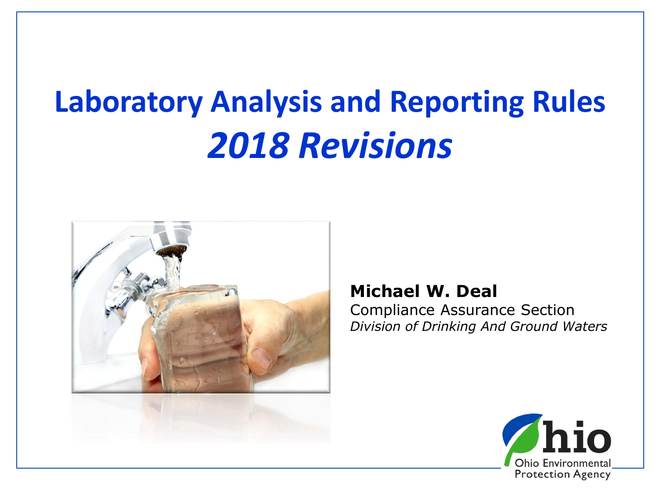# **Laboratory Analysis and Reporting Rules** *2018 Revisions*



#### **Michael W. Deal**

Compliance Assurance Section *Division of Drinking And Ground Waters*

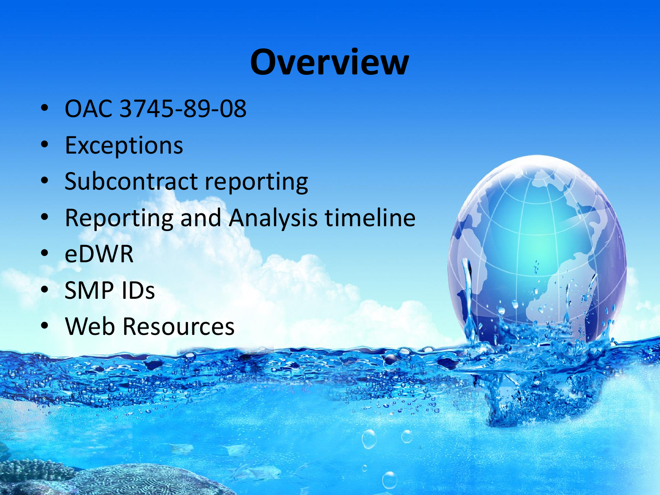# **Overview**

- OAC 3745-89-08
- Exceptions
- Subcontract reporting
- Reporting and Analysis timeline
- eDWR
- SMP IDs
- Web Resources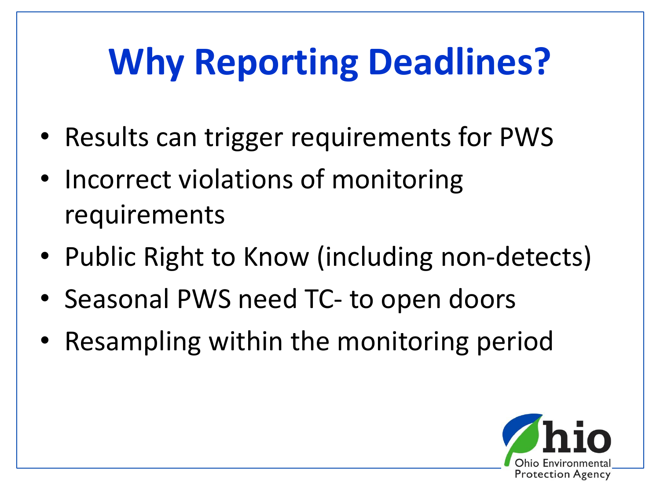# **Why Reporting Deadlines?**

- Results can trigger requirements for PWS
- Incorrect violations of monitoring requirements
- Public Right to Know (including non-detects)
- Seasonal PWS need TC- to open doors
- Resampling within the monitoring period

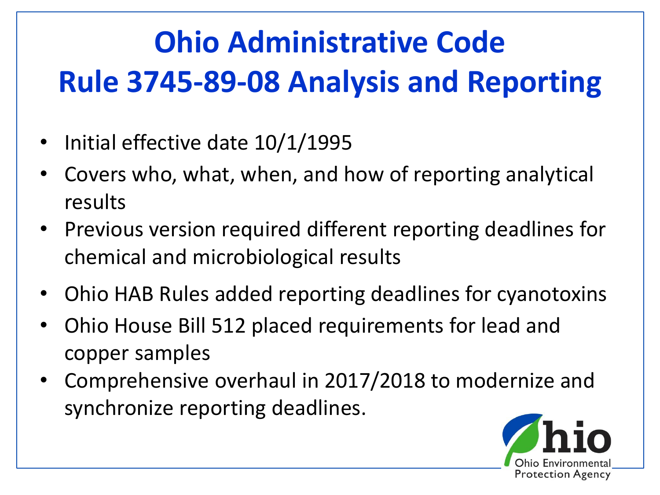#### **Ohio Administrative Code Rule 3745-89-08 Analysis and Reporting**

- Initial effective date 10/1/1995
- Covers who, what, when, and how of reporting analytical results
- Previous version required different reporting deadlines for chemical and microbiological results
- Ohio HAB Rules added reporting deadlines for cyanotoxins
- Ohio House Bill 512 placed requirements for lead and copper samples
- Comprehensive overhaul in 2017/2018 to modernize and synchronize reporting deadlines.

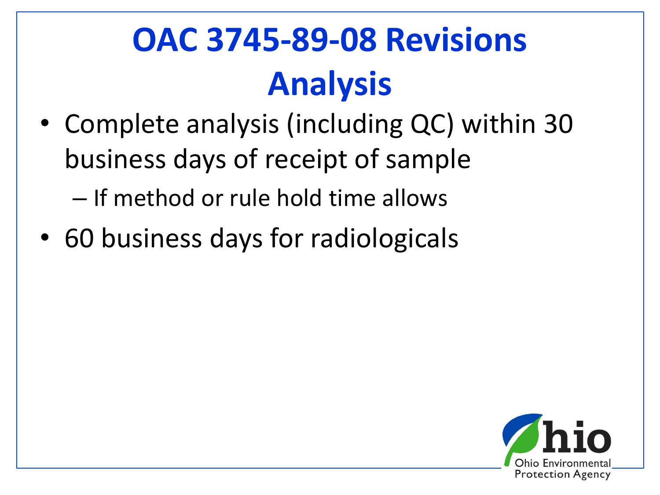# **OAC 3745-89-08 Revisions Analysis**

- Complete analysis (including QC) within 30 business days of receipt of sample – If method or rule hold time allows
- 60 business days for radiologicals

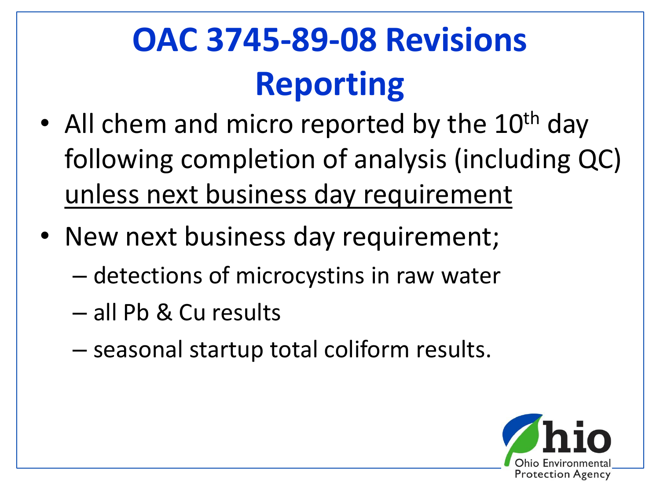# **OAC 3745-89-08 Revisions Reporting**

- All chem and micro reported by the  $10^{th}$  day following completion of analysis (including QC) unless next business day requirement
- New next business day requirement;
	- detections of microcystins in raw water
	- all Pb & Cu results
	- seasonal startup total coliform results.

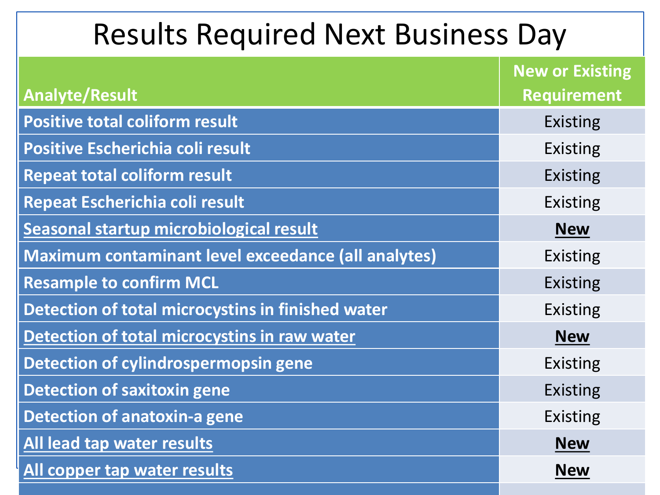#### Results Required Next Business Day

|                                                     | <b>New or Existing</b> |
|-----------------------------------------------------|------------------------|
| <b>Analyte/Result</b>                               | <b>Requirement</b>     |
| <b>Positive total coliform result</b>               | <b>Existing</b>        |
| Positive Escherichia coli result                    | <b>Existing</b>        |
| <b>Repeat total coliform result</b>                 | <b>Existing</b>        |
| Repeat Escherichia coli result                      | <b>Existing</b>        |
| Seasonal startup microbiological result             | <b>New</b>             |
| Maximum contaminant level exceedance (all analytes) | <b>Existing</b>        |
| <b>Resample to confirm MCL</b>                      | <b>Existing</b>        |
| Detection of total microcystins in finished water   | <b>Existing</b>        |
| Detection of total microcystins in raw water        | <b>New</b>             |
| Detection of cylindrospermopsin gene                | <b>Existing</b>        |
| <b>Detection of saxitoxin gene</b>                  | <b>Existing</b>        |
| Detection of anatoxin-a gene                        | <b>Existing</b>        |
| All lead tap water results                          | <b>New</b>             |
| All copper tap water results                        | <b>New</b>             |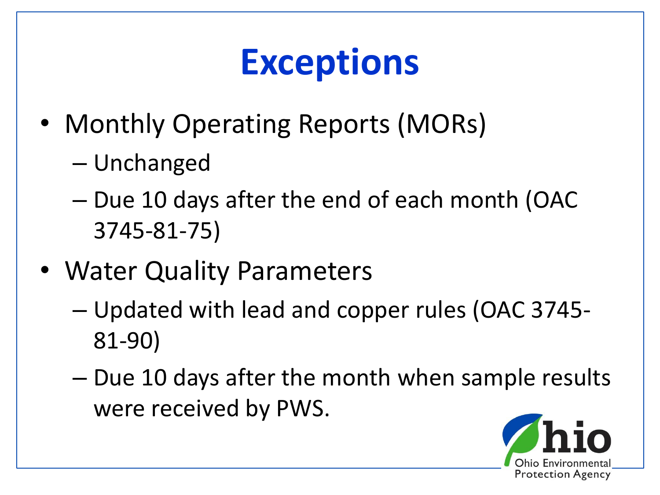# **Exceptions**

- Monthly Operating Reports (MORs)
	- Unchanged
	- Due 10 days after the end of each month (OAC 3745-81-75)
- Water Quality Parameters
	- Updated with lead and copper rules (OAC 3745- 81-90)
	- Due 10 days after the month when sample results were received by PWS.

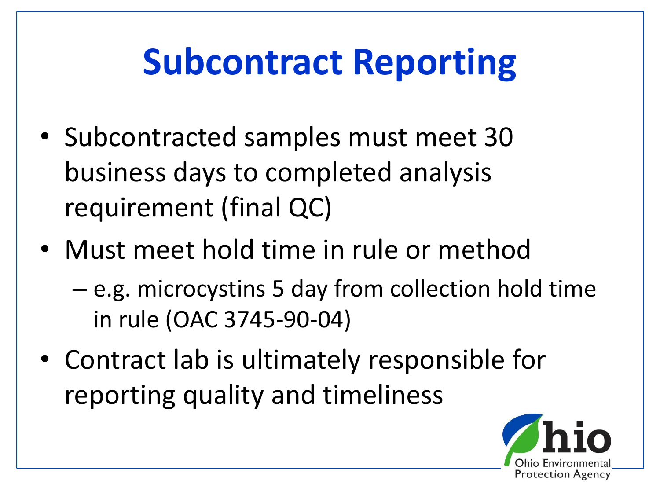# **Subcontract Reporting**

- Subcontracted samples must meet 30 business days to completed analysis requirement (final QC)
- Must meet hold time in rule or method
	- e.g. microcystins 5 day from collection hold time in rule (OAC 3745-90-04)
- Contract lab is ultimately responsible for reporting quality and timeliness

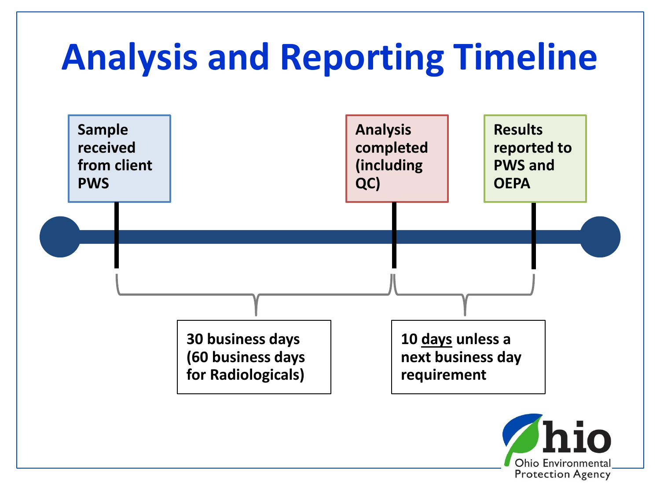

**Protection Agency**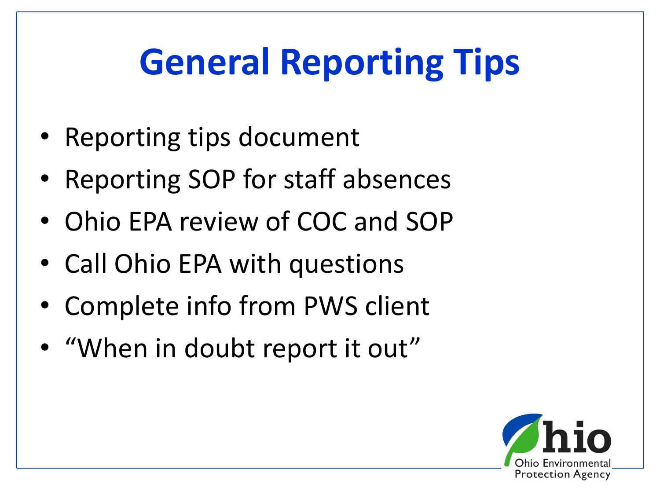# **General Reporting Tips**

- Reporting tips document
- Reporting SOP for staff absences
- Ohio EPA review of COC and SOP
- Call Ohio EPA with questions
- Complete info from PWS client
- "When in doubt report it out"

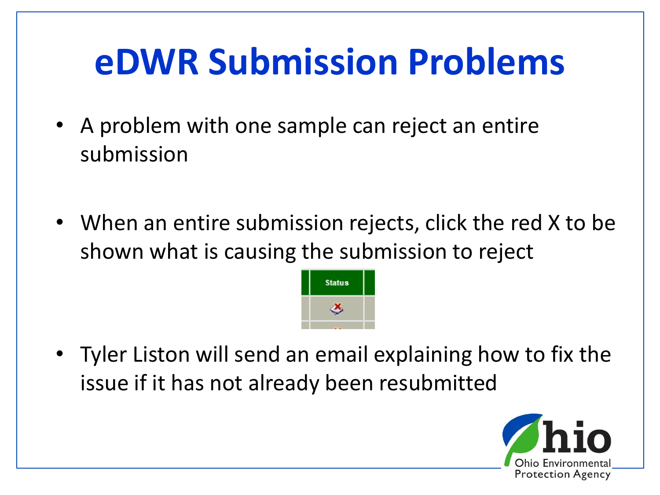# **eDWR Submission Problems**

- A problem with one sample can reject an entire submission
- When an entire submission rejects, click the red X to be shown what is causing the submission to reject



• Tyler Liston will send an email explaining how to fix the issue if it has not already been resubmitted

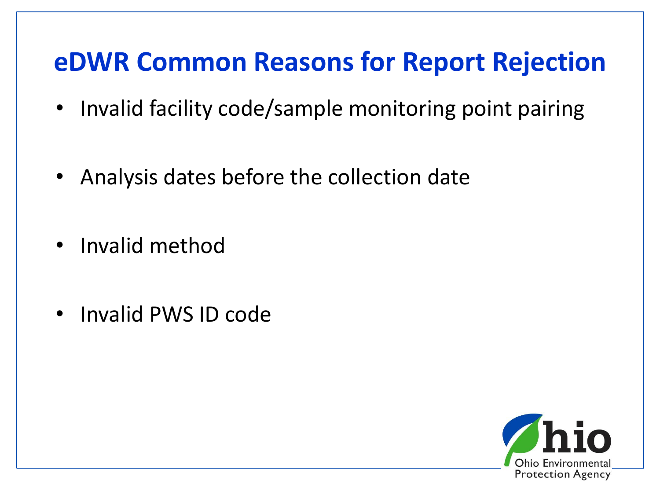#### **eDWR Common Reasons for Report Rejection**

- Invalid facility code/sample monitoring point pairing
- Analysis dates before the collection date
- Invalid method
- Invalid PWS ID code

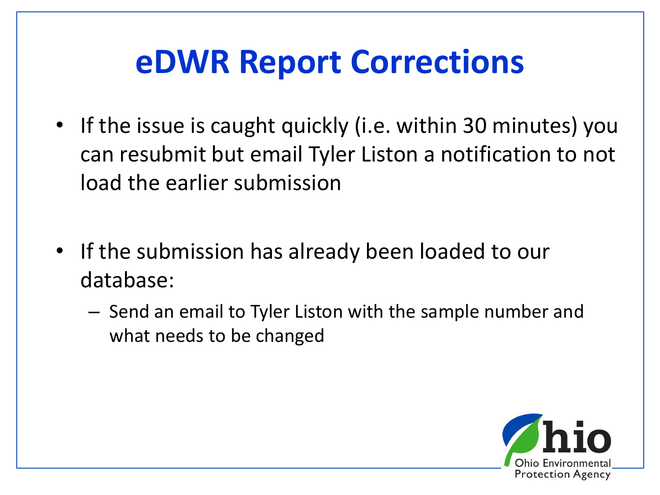#### **eDWR Report Corrections**

- If the issue is caught quickly (i.e. within 30 minutes) you can resubmit but email Tyler Liston a notification to not load the earlier submission
- If the submission has already been loaded to our database:
	- Send an email to Tyler Liston with the sample number and what needs to be changed

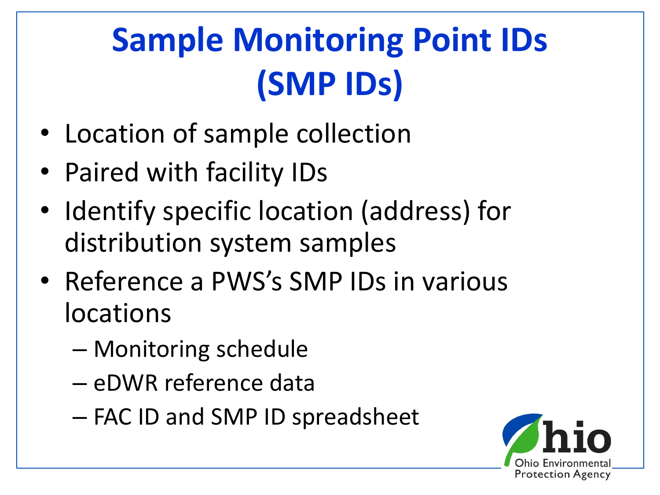# **Sample Monitoring Point IDs (SMP IDs)**

- Location of sample collection
- Paired with facility IDs
- Identify specific location (address) for distribution system samples
- Reference a PWS's SMP IDs in various locations
	- Monitoring schedule
	- eDWR reference data
	- FAC ID and SMP ID spreadsheet

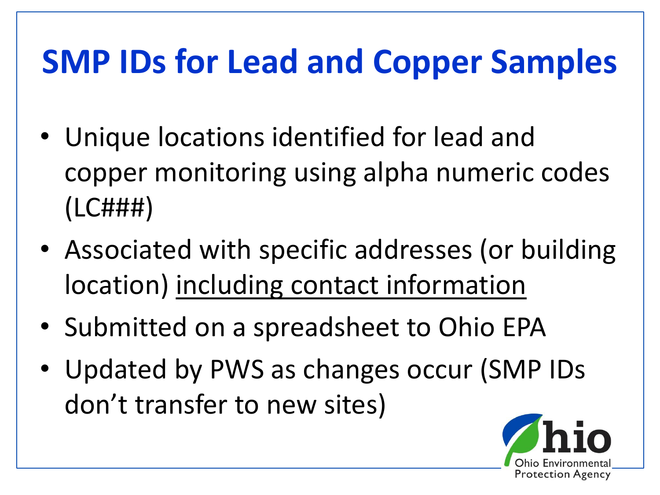#### **SMP IDs for Lead and Copper Samples**

- Unique locations identified for lead and copper monitoring using alpha numeric codes (LC###)
- Associated with specific addresses (or building location) including contact information
- Submitted on a spreadsheet to Ohio EPA
- Updated by PWS as changes occur (SMP IDs don't transfer to new sites)

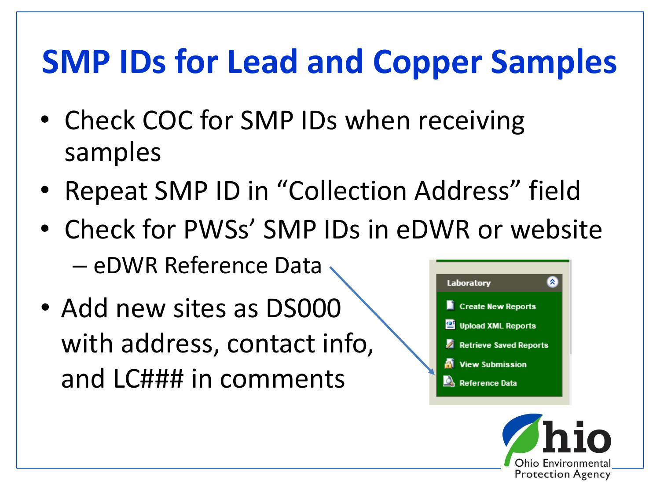#### **SMP IDs for Lead and Copper Samples**

- Check COC for SMP IDs when receiving samples
- Repeat SMP ID in "Collection Address" field
- Check for PWSs' SMP IDs in eDWR or website – eDWR Reference Data
- Add new sites as DS000 with address, contact info, and LC### in comments



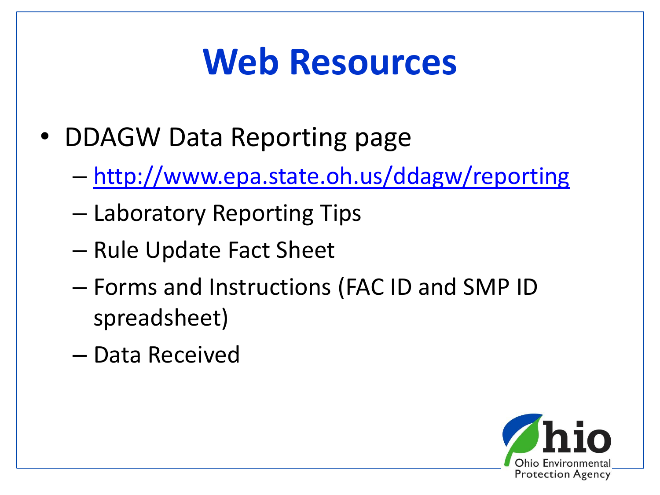# **Web Resources**

- DDAGW Data Reporting page
	- <http://www.epa.state.oh.us/ddagw/reporting>
	- Laboratory Reporting Tips
	- Rule Update Fact Sheet
	- Forms and Instructions (FAC ID and SMP ID spreadsheet)
	- Data Received

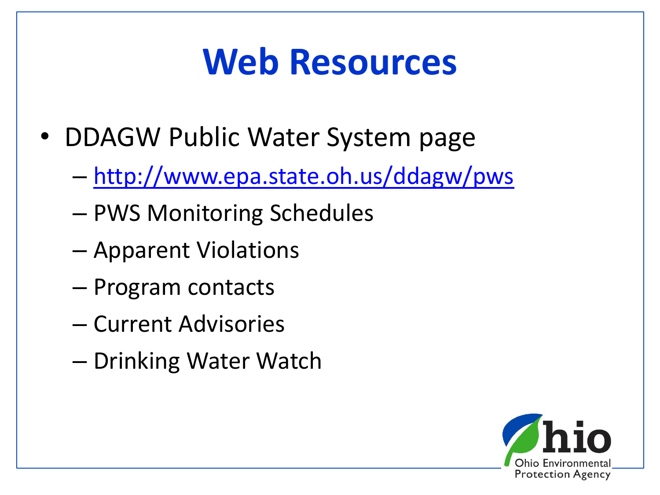## **Web Resources**

- DDAGW Public Water System page
	- <http://www.epa.state.oh.us/ddagw/pws>
	- PWS Monitoring Schedules
	- Apparent Violations
	- Program contacts
	- Current Advisories
	- Drinking Water Watch

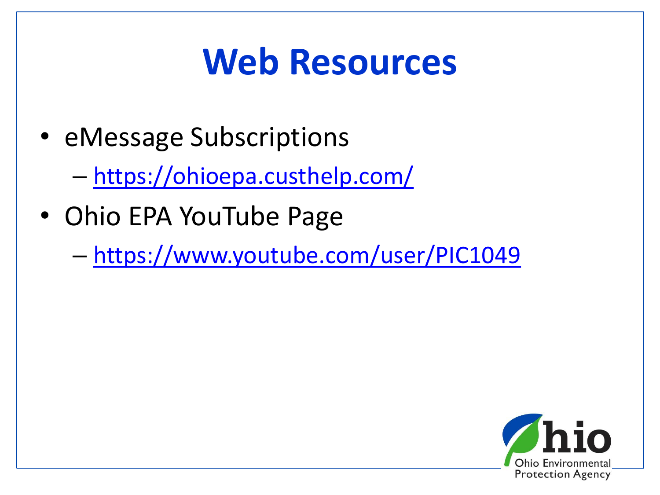## **Web Resources**

• eMessage Subscriptions

– <https://ohioepa.custhelp.com/>

- Ohio EPA YouTube Page
	- <https://www.youtube.com/user/PIC1049>